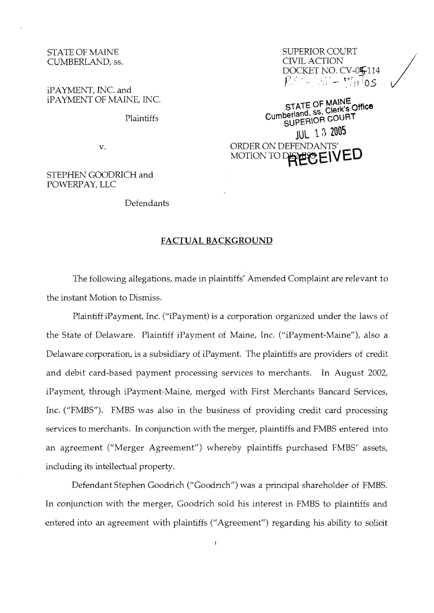# STATE OF MAINE CUMBERLAND, ss.

iPAYMENT, INC. and PAYMENT OF MAINE, INC.

Plaintiffs

v.

### STEPHEN GOODRICH and POWERPAY, LLC

#### Defendants

# **FACTUAL BACKGROUND**

The following allegations, made in plaintiffs' Amended Complaint are relevant to the instant Motion to Dismiss.

Plaintiff iPayment, Inc. ("iPayment) is a corporation organized under the laws of the State of Delaware. Plaintiff iPayment of Maine, Inc. ("iPayment-Maine"), also a Delaware corporation, is a subsidiary of iPayment. The plaintiffs are providers of credit and debit card-based payment processing services to merchants. In August 2002, iPayment, through iPayment-Maine, merged with First Merchants Bancard Services, Inc. ("FMBS"). FMBS was also in the business of providing credit card processing services to merchants. In conjunction with the merger, plaintiffs and FMBS entered into an agreement ("Merger Agreement") whereby plaintiffs purchased FMBS' assets, including its intellectual property.

Defendant Stephen Goodrich ("Goodrich") was a principal shareholder of FMBS. In conjunction with the merger, Goodrich sold his interest in FMBS to plaintiffs and entered into an agreement with plaintiffs ("Agreement") regarding his ability to solicit

 $\mathbf{1}$ 

SUPERIOR COURT CWIL ACTION DOCKET NO. CV-054114 <sup>t</sup>' ' '" , . **<sup>1</sup>**, - **re:!,** iO5

**STATE OF MAlNE**  Cumberland, **ss, COURT** SUPERIOR **COURT**  JUC **13** *2005*  ORDER ON DEFENDANTS' MOTION TO DEPERS FIVED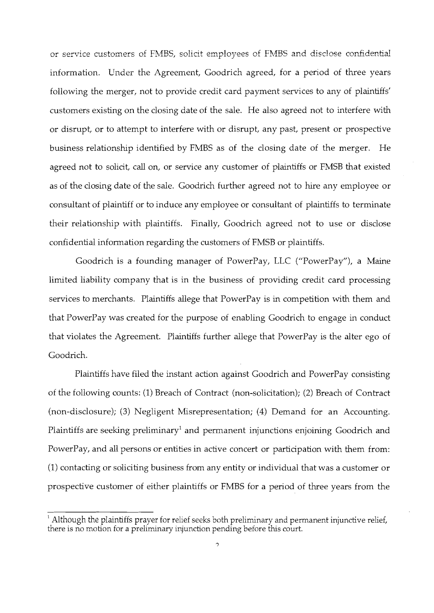or service customers of FMBS, solicit employees of FMBS and disclose confidential information. Under the Agreement, Goodrich agreed, for a period of three years following the merger, not to provide credit card payment services to any of plaintiffs' customers existing on the closing date of the sale. He also agreed not to interfere with or disrupt, or to attempt to interfere with or disrupt, any past, present or prospective business relationship identified by FMBS as of the closing date of the merger. He agreed not to solicit, call on, or service any customer of plaintiffs or FMSB that existed as of the closing date of the sale. Goodrich further agreed not to hire any employee or consultant of plaintiff or to induce any employee or consultant of plaintiffs to terminate their relationship with plaintiffs. Finally, Goodrich agreed not to use or disclose confidential information regarding the customers of FMSB or plaintiffs.

Goodrich is a founding manager of PowerPay, LLC ("PowerPay"), a Maine limited liability company that is in the business of providing credit card processing services to merchants. Plaintiffs allege that PowerPay is in competition with them and that PowerPay was created for the purpose of enabling Goodrich to engage in conduct that violates the Agreement. Plaintiffs further allege that PowerPay is the alter ego of Goodrich.

Plaintiffs have filed the instant action against Goodrich and PowerPay consisting of the following counts: (1) Breach of Contract (non-solicitation); (2) Breach of Contract (non-disclosure); (3) Negligent Misrepresentation; (4) Demand for an Accounting. Plaintiffs are seeking preliminary<sup>1</sup> and permanent injunctions enjoining Goodrich and PowerPay, and all persons or entities in active concert or participation with them from: (1) contacting or soliciting business from any entity or individual that was a customer or prospective customer of either plaintiffs or FMBS for a period of three years from the

<sup>&</sup>lt;sup>1</sup> Although the plaintiffs prayer for relief seeks both preliminary and permanent injunctive relief, there is no motion for a preliminary injunction pending before this court.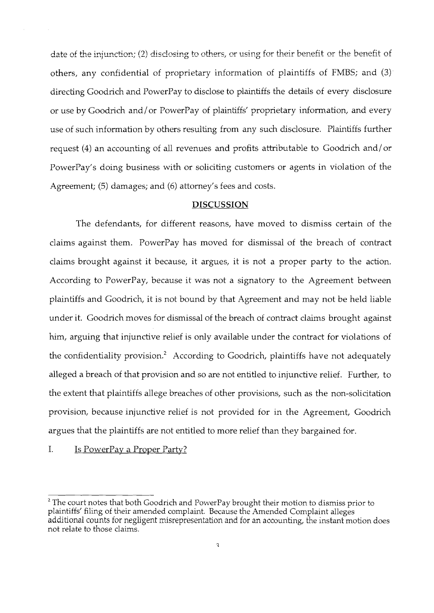date of the injunction; (2) disclosing to others, or using for their benefit or the benefit of others, any confidential of proprietary information of plaintiffs of FMBS; and (3) directing Goodrich and PowerPay to disclose to plaintiffs the details of every disclosure or use by Goodrich and/ or PowerPay of plaintiffs' proprietary information, and every use of such information by others resulting from any such disclosure. Plaintiffs further request (4) an accounting of all revenues md profits attributable to Goodrich and/or PowerPay's doing business with or soliciting customers or agents in violation of the Agreement; (5) damages; and (6) attorney's fees and costs.

### **DISCUSSION**

The defendants, for different reasons, have moved to dismiss certain of the claims against them. PowerPay has moved for dismissal of the breach of contract claims brought against it because, it argues, it is not a proper party to the action. According to PowerPay, because it was not a signatory to the Agreement between plaintiffs and Goodrich, it is not bound by that Agreement and may not be held liable under it. Goodrich moves for dismissal of the breach of contract claims brought against him, arguing that injunctive relief is only available under the contract for violations of the confidentiality provision.<sup>2</sup> According to Goodrich, plaintiffs have not adequately alleged a breach of that provision and so are not entitled to injunctive relief. Further, to the extent that plaintiffs allege breaches of other provisions, such as the non-solicitation provision, because injunctive relief is not provided for in the Agreement, Goodrich argues that the plaintiffs are not entitled to more relief than they bargained for.

I. Is PowerPav a Proper Partv?

 $2$  The court notes that both Goodrich and PowerPay brought their motion to dismiss prior to plaintiffs' filing of their amended complaint. Because the Amended Complaint alleges additional counts for negligent misrepresentation and for an accounting, the instant motion does not relate to those claims.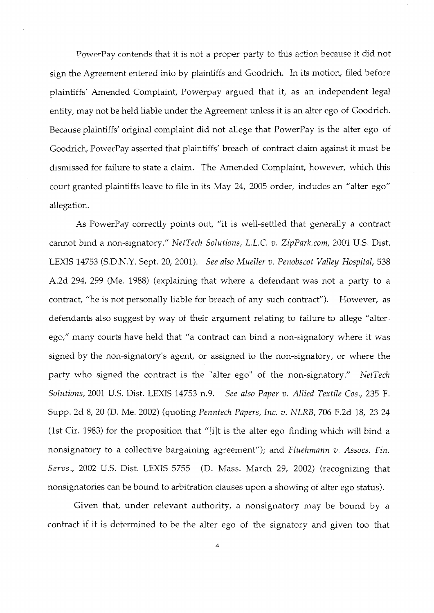PowerPay contends that it is not a proper party to this action because it did not sign the Agreement entered into by plaintiffs and Goodrich. In its motion, filed before plaintiffs' Amended Complaint, Powerpay argued that it, as an independent legal entity, may not be held liable under the Agreement unless it is an alter ego of Goodrich. Because plaintiffs' original complaint did not allege that PowerPay is the alter ego of Goodrich, PowerPay asserted that plaintiffs' breach of contract claim against it must be dismissed for failure to state a claim. The Amended Complaint, however, which this court granted plaintiffs leave to file in its May 24, 2005 order, includes an "alter ego" allegation.

As PowerPay correctly points out, "it is well-settled that generally a contract cannot bind a non-signatory." NetTech Solutions, L.L.C. v. ZipPark.com, 2001 U.S. Dist. LEXIS 14753 (S.D.N.Y. Sept. 20, 2001). See also Mueller v. Penobscot Valley Hospital, 538 A.2d 294, 299 (Me. 1988) (explaining that where a defendant was not a party to a contract, "he is not personally liable for breach of any such contract"). However, as defendants also suggest by way of their argument relating to failure to allege "alterego," many courts have held that "a contract can bind a non-signatory where it was signed by the non-signatory's agent, or assigned to the non-signatory, or where the party who signed the contract is the "alter ego" of the non-signatory." NetTech Solutions, 2001 U.S. Dist. LEXIS 14753 n.9. See also Paper v. Allied Textile Cos., 235 F. Supp. 2d 8, 20 (D. Me. 2002) (quoting Penntech Papers, Inc. v. NLRB, 706 F.2d 18, 23-24 (1st Cir. 1983) for the proposition that "[i]t is the alter ego finding which will bind a nonsignatory to a collective bargaining agreement"); and Fluehmann v. Assocs. Fin. Servs., 2002 U.S. Dist. LEXIS 5755 (D. Mass. March 29, 2002) (recognizing that nonsignatories can be bound to arbitration clauses upon a showing of alter ego status).

Given that, under relevant authority, a nonsignatory may be bound by a contract if it is determined to be the alter ego of the signatory and given too that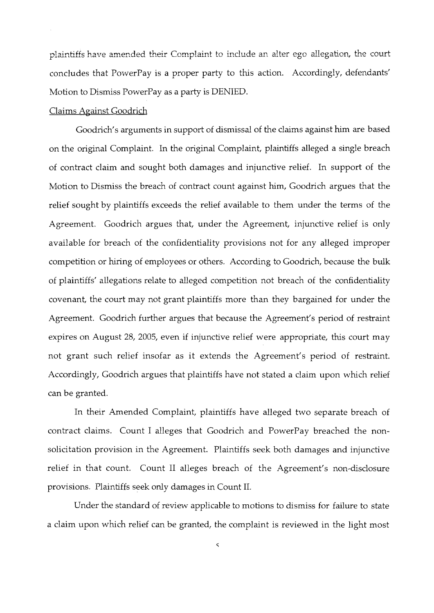plaintiffs have amended their Complaint to include an alter ego allegation, the court concludes that PowerPay is a proper party to this action. Accordingly, defendants' Motion to Dismiss PowerPay as a party is DENIED.

### Claims Against Goodrich

Goodrich's arguments in support of dismissal of the claims against him are based on the original Complaint. In the original Complaint, plaintiffs alleged a single breach of contract claim and sought both damages and injunctive relief. In support of the Motion to Dismiss the breach of contract count against him, Goodrich argues that the relief sought by plaintiffs exceeds the relief available to them under the terms of the Agreement. Goodrich argues that, under the Agreement, injunctive relief is only available for breach of the confidentiality provisions not for any alleged improper competition or hiring of employees or others. According to Goodrich, because the bulk of plaintiffs' allegations relate to alleged competition not breach of the confidentiality covenant, the court may not grant plaintiffs more than they bargained for under the Agreement. Goodrich further argues that because the Agreement's period of restraint expires on August 28, 2005, even if injunctive relief were appropriate, this court may not grant such relief insofar as it extends the Agreement's period of restraint. Accordingly, Goodrich argues that plaintiffs have not stated a claim upon whch relief can be granted.

In their Amended Complaint, plaintiffs have alleged two separate breach of contract claims. Count I alleges that Goodrich and PowerPay breached the nonsolicitation provision in the Agreement. Plaintiffs seek both damages and injunctive relief in that count. Count I1 alleges breach of the Agreement's non-disclosure provisions. Plaintiffs seek only damages in Count 11.

Under the standard of review applicable to motions to dismiss for failure to state a claim upon which relief can be granted, the complaint is reviewed in the light most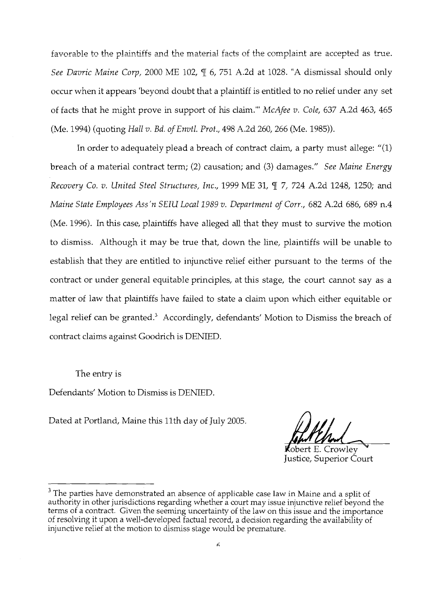favorable to the plaintiffs and the material facts of the complaint are accepted as true. *See Davric Maine Corp,* 2000 ME 102, 9 6, 751 A.2d at 1028. "A dismissal should only occur when it appears 'beyond doubt that a plaintiff is entitled to no relief under any set of facts that he might prove in support of hs claim."' *McAfee v. Cole,* 637 A.2d 463, 465 (Me. 1994) (quoting *Hall* v. *Bd. of Envtl. Prot.,* 498 A.2d 260, 266 (Me. 1985)).

In order to adequately plead a breach of contract claim, a party must allege: "(1) breach of a material contract term; (2) causation; and *(3)* damages." *See Maine Energy Recovery Co. v. United Steel Structures, Inc.,* 1999 ME 31, ¶ 7, 724 A.2d 1248, 1250; and *Maine State Employees Ass'n SEIU Local 1989 v. Department of Corr.,* 682 A.2d 686, 689 n.4 (Me. 1996). In this case, plaintiffs have alleged all that they must to survive the motion to dismiss. Although it may be true that, down the line, plaintiffs will be unable to establish that they are entitled to injunctive relief either pursuant to the terms of the contract or under general equitable principles, at this stage, the court cannot say as a matter of law that plaintiffs have failed to state a claim upon whch either equitable or legal relief can be granted.<sup>3</sup> Accordingly, defendants' Motion to Dismiss the breach of contract claims against Goodrich is DENIED.

The entry is

Defendants' Motion to Dismiss is DENIED.

Dated at Portland, Maine this 11th day of July 2005.

**K**obert E. Crowlev Justice, Superior Court

 $3$  The parties have demonstrated an absence of applicable case law in Maine and a split of authority in other jurisdictions regarding whether a court may issue injunctive relief beyond the terms of a contract. Given the seeming uncertainty of the law on this issue and the importance of resolving it upon a well-developed factual record, a decision regarding the availability of injunctive relief at the motion to dismiss stage would be premature.